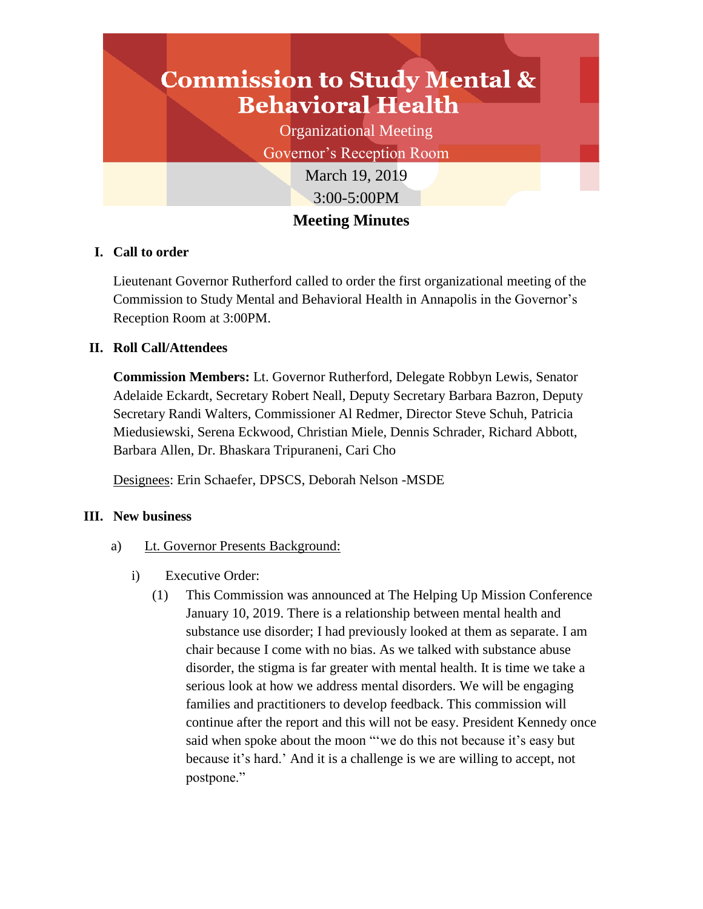# **Commission to Study Mental & Behavioral Health**

Organizational Meeting

Governor's Reception Room

March 19, 2019 3:00-5:00PM

# **Meeting Minutes**

## **I. Call to order**

Lieutenant Governor Rutherford called to order the first organizational meeting of the Commission to Study Mental and Behavioral Health in Annapolis in the Governor's Reception Room at 3:00PM.

### **II. Roll Call/Attendees**

**Commission Members:** Lt. Governor Rutherford, Delegate Robbyn Lewis, Senator Adelaide Eckardt, Secretary Robert Neall, Deputy Secretary Barbara Bazron, Deputy Secretary Randi Walters, Commissioner Al Redmer, Director Steve Schuh, Patricia Miedusiewski, Serena Eckwood, Christian Miele, Dennis Schrader, Richard Abbott, Barbara Allen, Dr. Bhaskara Tripuraneni, Cari Cho

Designees: Erin Schaefer, DPSCS, Deborah Nelson -MSDE

### **III. New business**

- a) Lt. Governor Presents Background:
	- i) Executive Order:
		- (1) This Commission was announced at The Helping Up Mission Conference January 10, 2019. There is a relationship between mental health and substance use disorder; I had previously looked at them as separate. I am chair because I come with no bias. As we talked with substance abuse disorder, the stigma is far greater with mental health. It is time we take a serious look at how we address mental disorders. We will be engaging families and practitioners to develop feedback. This commission will continue after the report and this will not be easy. President Kennedy once said when spoke about the moon "'we do this not because it's easy but because it's hard.' And it is a challenge is we are willing to accept, not postpone."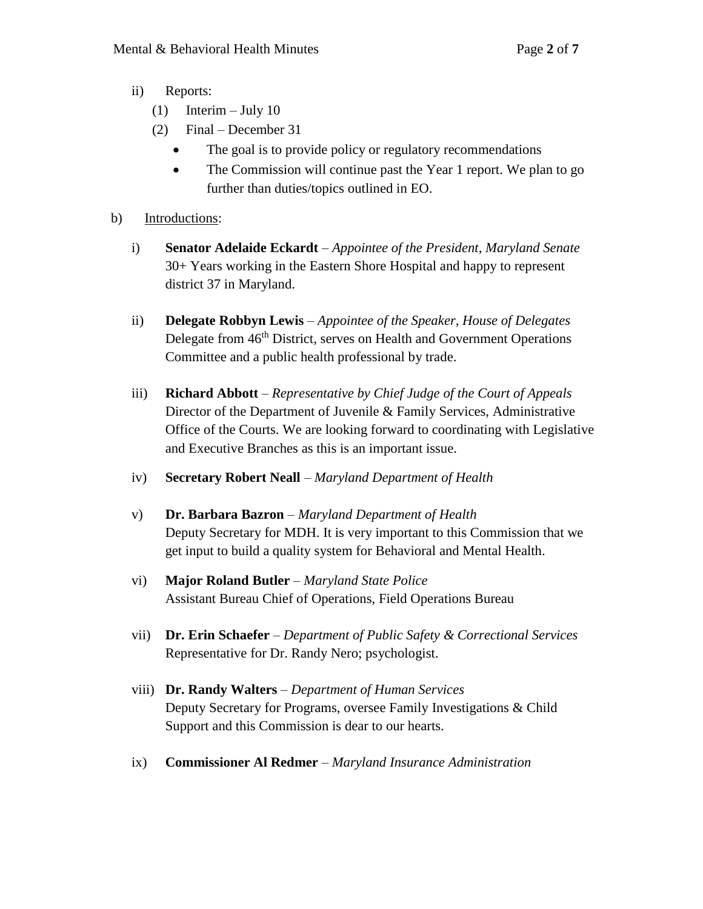- ii) Reports:
	- (1) Interim July 10
	- (2) Final December 31
		- The goal is to provide policy or regulatory recommendations
		- The Commission will continue past the Year 1 report. We plan to go further than duties/topics outlined in EO.
- b) Introductions:
	- i) **Senator Adelaide Eckardt** *Appointee of the President, Maryland Senate* 30+ Years working in the Eastern Shore Hospital and happy to represent district 37 in Maryland.
	- ii) **Delegate Robbyn Lewis** *Appointee of the Speaker, House of Delegates* Delegate from 46<sup>th</sup> District, serves on Health and Government Operations Committee and a public health professional by trade.
	- iii) **Richard Abbott** *Representative by Chief Judge of the Court of Appeals* Director of the Department of Juvenile & Family Services, Administrative Office of the Courts. We are looking forward to coordinating with Legislative and Executive Branches as this is an important issue.
	- iv) **Secretary Robert Neall** *Maryland Department of Health*
	- v) **Dr. Barbara Bazron** *Maryland Department of Health* Deputy Secretary for MDH. It is very important to this Commission that we get input to build a quality system for Behavioral and Mental Health.
	- vi) **Major Roland Butler** *Maryland State Police* Assistant Bureau Chief of Operations, Field Operations Bureau
	- vii) **Dr. Erin Schaefer** *Department of Public Safety & Correctional Services* Representative for Dr. Randy Nero; psychologist.
	- viii) **Dr. Randy Walters** *Department of Human Services* Deputy Secretary for Programs, oversee Family Investigations & Child Support and this Commission is dear to our hearts.
	- ix) **Commissioner Al Redmer** *Maryland Insurance Administration*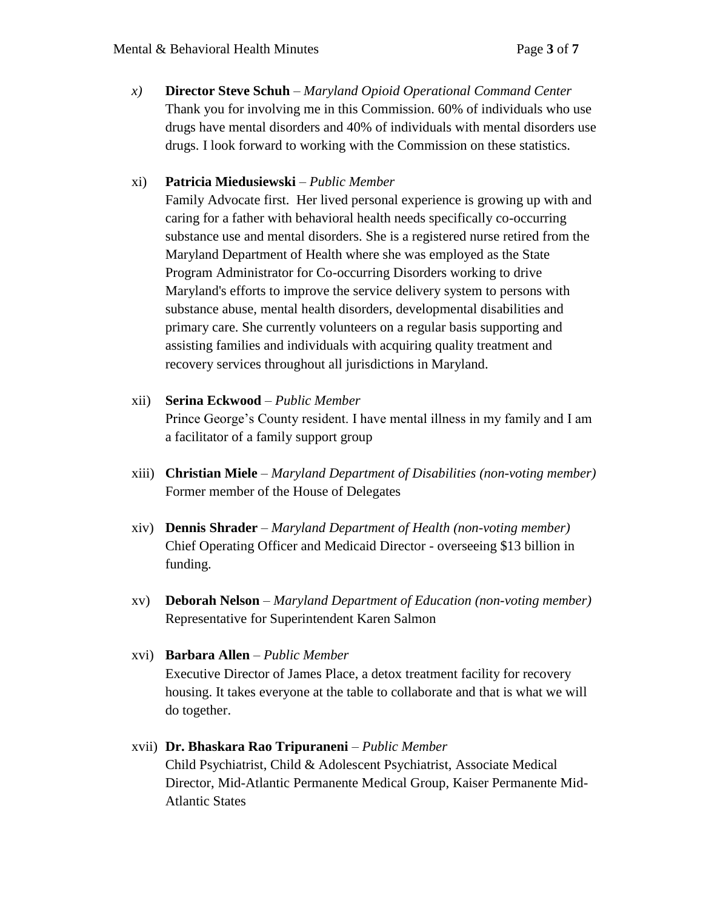*x)* **Director Steve Schuh** – *Maryland Opioid Operational Command Center* Thank you for involving me in this Commission. 60% of individuals who use drugs have mental disorders and 40% of individuals with mental disorders use drugs. I look forward to working with the Commission on these statistics.

### xi) **Patricia Miedusiewski** – *Public Member*

Family Advocate first. Her lived personal experience is growing up with and caring for a father with behavioral health needs specifically co-occurring substance use and mental disorders. She is a registered nurse retired from the Maryland Department of Health where she was employed as the State Program Administrator for Co-occurring Disorders working to drive Maryland's efforts to improve the service delivery system to persons with substance abuse, mental health disorders, developmental disabilities and primary care. She currently volunteers on a regular basis supporting and assisting families and individuals with acquiring quality treatment and recovery services throughout all jurisdictions in Maryland.

#### xii) **Serina Eckwood** – *Public Member*

Prince George's County resident. I have mental illness in my family and I am a facilitator of a family support group

- xiii) **Christian Miele** *Maryland Department of Disabilities (non-voting member)* Former member of the House of Delegates
- xiv) **Dennis Shrader** *Maryland Department of Health (non-voting member)* Chief Operating Officer and Medicaid Director - overseeing \$13 billion in funding.
- xv) **Deborah Nelson** *Maryland Department of Education (non-voting member)* Representative for Superintendent Karen Salmon

# xvi) **Barbara Allen** – *Public Member*

Executive Director of James Place, a detox treatment facility for recovery housing. It takes everyone at the table to collaborate and that is what we will do together.

# xvii) **Dr. Bhaskara Rao Tripuraneni** – *Public Member* Child Psychiatrist, Child & Adolescent Psychiatrist, Associate Medical Director, Mid-Atlantic Permanente Medical Group, Kaiser Permanente Mid-Atlantic States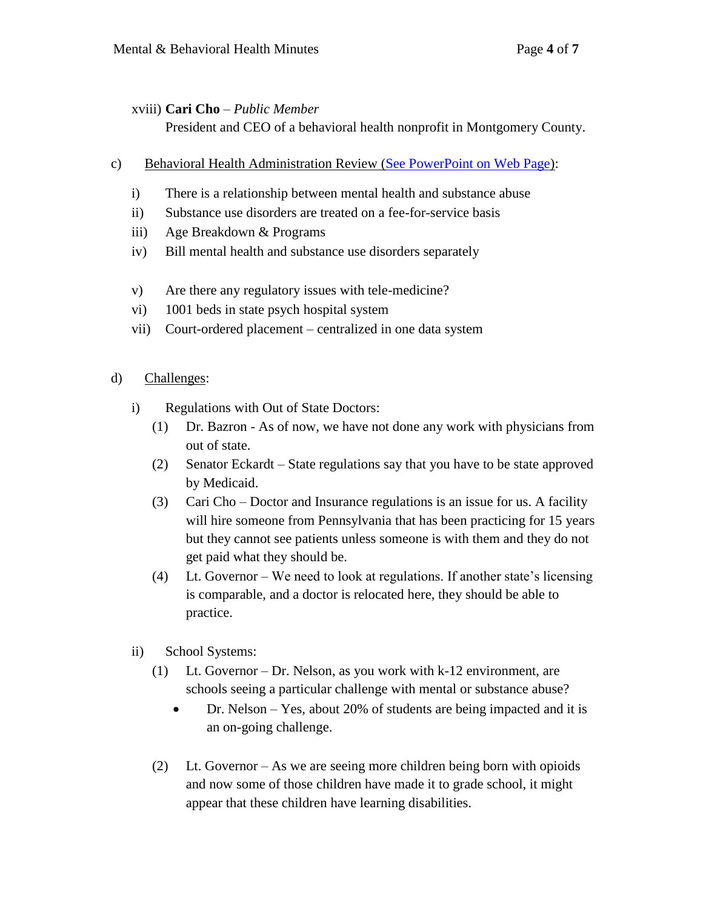### xviii) **Cari Cho** – *Public Member*

President and CEO of a behavioral health nonprofit in Montgomery County.

- c) Behavioral Health Administration Review [\(See PowerPoint on Web Page\)](https://governor.maryland.gov/ltgovernor/commission-to-study-mental-and-behavioral-health-in-maryland/):
	- i) There is a relationship between mental health and substance abuse
	- ii) Substance use disorders are treated on a fee-for-service basis
	- iii) Age Breakdown & Programs
	- iv) Bill mental health and substance use disorders separately
	- v) Are there any regulatory issues with tele-medicine?
	- vi) 1001 beds in state psych hospital system
	- vii) Court-ordered placement centralized in one data system

### d) Challenges:

- i) Regulations with Out of State Doctors:
	- (1) Dr. Bazron As of now, we have not done any work with physicians from out of state.
	- (2) Senator Eckardt State regulations say that you have to be state approved by Medicaid.
	- (3) Cari Cho Doctor and Insurance regulations is an issue for us. A facility will hire someone from Pennsylvania that has been practicing for 15 years but they cannot see patients unless someone is with them and they do not get paid what they should be.
	- (4) Lt. Governor We need to look at regulations. If another state's licensing is comparable, and a doctor is relocated here, they should be able to practice.
- ii) School Systems:
	- (1) Lt. Governor Dr. Nelson, as you work with k-12 environment, are schools seeing a particular challenge with mental or substance abuse?
		- Dr. Nelson Yes, about 20% of students are being impacted and it is an on-going challenge.
	- (2) Lt. Governor As we are seeing more children being born with opioids and now some of those children have made it to grade school, it might appear that these children have learning disabilities.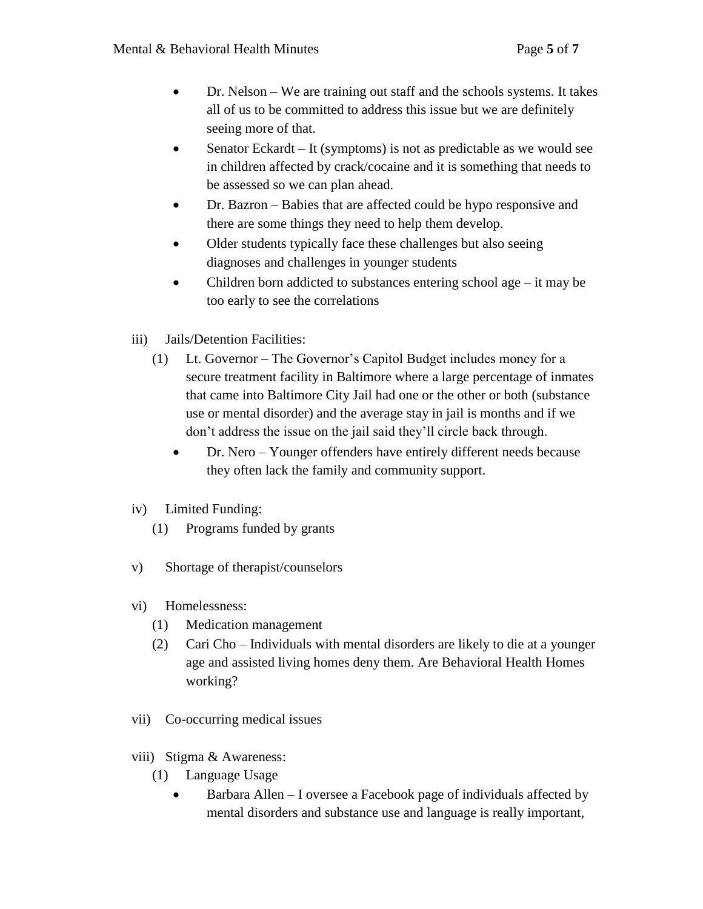- Dr. Nelson We are training out staff and the schools systems. It takes all of us to be committed to address this issue but we are definitely seeing more of that.
- Senator Eckardt It (symptoms) is not as predictable as we would see in children affected by crack/cocaine and it is something that needs to be assessed so we can plan ahead.
- Dr. Bazron Babies that are affected could be hypo responsive and there are some things they need to help them develop.
- Older students typically face these challenges but also seeing diagnoses and challenges in younger students
- Children born addicted to substances entering school age it may be too early to see the correlations
- iii) Jails/Detention Facilities:
	- (1) Lt. Governor The Governor's Capitol Budget includes money for a secure treatment facility in Baltimore where a large percentage of inmates that came into Baltimore City Jail had one or the other or both (substance use or mental disorder) and the average stay in jail is months and if we don't address the issue on the jail said they'll circle back through.
		- Dr. Nero Younger offenders have entirely different needs because they often lack the family and community support.
- iv) Limited Funding:
	- (1) Programs funded by grants
- v) Shortage of therapist/counselors
- vi) Homelessness:
	- (1) Medication management
	- (2) Cari Cho Individuals with mental disorders are likely to die at a younger age and assisted living homes deny them. Are Behavioral Health Homes working?
- vii) Co-occurring medical issues
- viii) Stigma & Awareness:
	- (1) Language Usage
		- Barbara Allen I oversee a Facebook page of individuals affected by mental disorders and substance use and language is really important,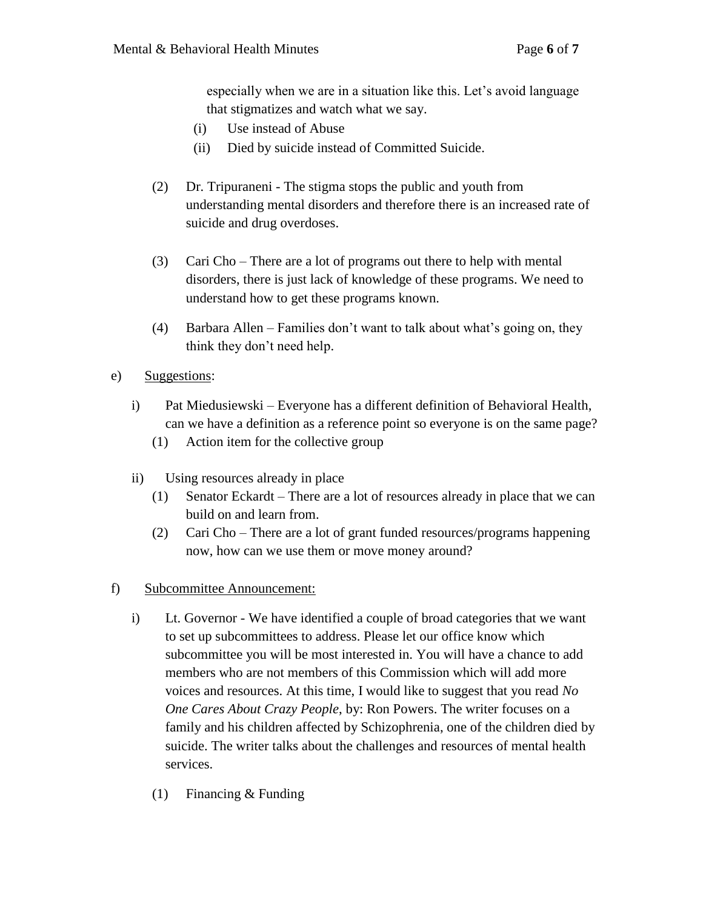especially when we are in a situation like this. Let's avoid language that stigmatizes and watch what we say.

- (i) Use instead of Abuse
- (ii) Died by suicide instead of Committed Suicide.
- (2) Dr. Tripuraneni The stigma stops the public and youth from understanding mental disorders and therefore there is an increased rate of suicide and drug overdoses.
- (3) Cari Cho There are a lot of programs out there to help with mental disorders, there is just lack of knowledge of these programs. We need to understand how to get these programs known.
- (4) Barbara Allen Families don't want to talk about what's going on, they think they don't need help.
- e) Suggestions:
	- i) Pat Miedusiewski Everyone has a different definition of Behavioral Health, can we have a definition as a reference point so everyone is on the same page?
		- (1) Action item for the collective group
	- ii) Using resources already in place
		- (1) Senator Eckardt There are a lot of resources already in place that we can build on and learn from.
		- (2) Cari Cho There are a lot of grant funded resources/programs happening now, how can we use them or move money around?
- f) Subcommittee Announcement:
	- i) Lt. Governor We have identified a couple of broad categories that we want to set up subcommittees to address. Please let our office know which subcommittee you will be most interested in. You will have a chance to add members who are not members of this Commission which will add more voices and resources. At this time, I would like to suggest that you read *No One Cares About Crazy People*, by: Ron Powers. The writer focuses on a family and his children affected by Schizophrenia, one of the children died by suicide. The writer talks about the challenges and resources of mental health services.
		- (1) Financing & Funding